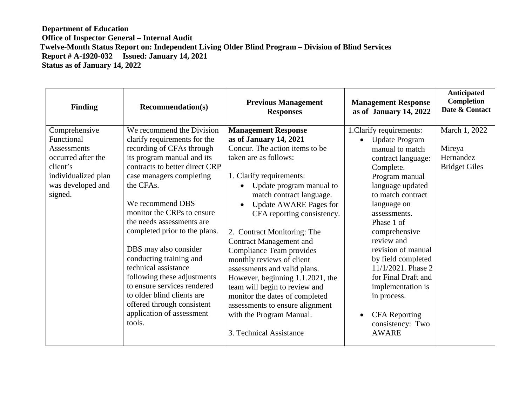| Finding                                                                                                                             | <b>Recommendation(s)</b>                                                                                                                                                                                                                                                                                                                                                                                                                                  | <b>Previous Management</b><br><b>Responses</b>                                                                                                                                                                                                                                                                                                                                                                                                                                                           | <b>Management Response</b><br>as of January 14, 2022                                                                                                                                                                                                                                                                                                                         | <b>Anticipated</b><br><b>Completion</b><br>Date & Contact    |
|-------------------------------------------------------------------------------------------------------------------------------------|-----------------------------------------------------------------------------------------------------------------------------------------------------------------------------------------------------------------------------------------------------------------------------------------------------------------------------------------------------------------------------------------------------------------------------------------------------------|----------------------------------------------------------------------------------------------------------------------------------------------------------------------------------------------------------------------------------------------------------------------------------------------------------------------------------------------------------------------------------------------------------------------------------------------------------------------------------------------------------|------------------------------------------------------------------------------------------------------------------------------------------------------------------------------------------------------------------------------------------------------------------------------------------------------------------------------------------------------------------------------|--------------------------------------------------------------|
| Comprehensive<br>Functional<br>Assessments<br>occurred after the<br>client's<br>individualized plan<br>was developed and<br>signed. | We recommend the Division<br>clarify requirements for the<br>recording of CFAs through<br>its program manual and its<br>contracts to better direct CRP<br>case managers completing<br>the CFAs.<br>We recommend DBS<br>monitor the CRPs to ensure<br>the needs assessments are<br>completed prior to the plans.<br>DBS may also consider<br>conducting training and<br>technical assistance<br>following these adjustments<br>to ensure services rendered | <b>Management Response</b><br>as of January 14, 2021<br>Concur. The action items to be<br>taken are as follows:<br>1. Clarify requirements:<br>Update program manual to<br>match contract language.<br><b>Update AWARE Pages for</b><br>CFA reporting consistency.<br>2. Contract Monitoring: The<br><b>Contract Management and</b><br><b>Compliance Team provides</b><br>monthly reviews of client<br>assessments and valid plans.<br>However, beginning 1.1.2021, the<br>team will begin to review and | 1. Clarify requirements:<br><b>Update Program</b><br>$\bullet$<br>manual to match<br>contract language:<br>Complete.<br>Program manual<br>language updated<br>to match contract<br>language on<br>assessments.<br>Phase 1 of<br>comprehensive<br>review and<br>revision of manual<br>by field completed<br>$11/1/2021$ . Phase 2<br>for Final Draft and<br>implementation is | March 1, 2022<br>Mireya<br>Hernandez<br><b>Bridget Giles</b> |
|                                                                                                                                     | to older blind clients are<br>offered through consistent<br>application of assessment<br>tools.                                                                                                                                                                                                                                                                                                                                                           | monitor the dates of completed<br>assessments to ensure alignment<br>with the Program Manual.<br>3. Technical Assistance                                                                                                                                                                                                                                                                                                                                                                                 | in process.<br><b>CFA</b> Reporting<br>consistency: Two<br><b>AWARE</b>                                                                                                                                                                                                                                                                                                      |                                                              |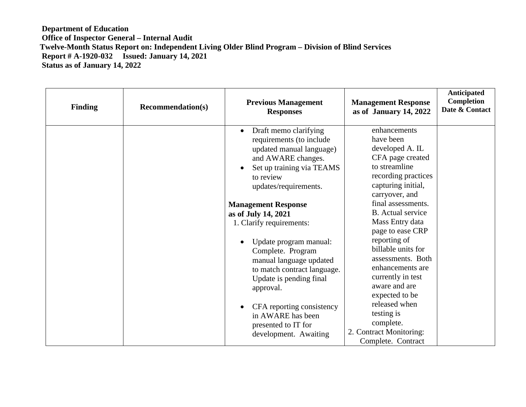| <b>Finding</b> | <b>Recommendation(s)</b> | <b>Previous Management</b><br><b>Responses</b>                                                                                                                                                   | <b>Management Response</b><br>as of January 14, 2022                                                                                             | <b>Anticipated</b><br>Completion<br>Date & Contact |
|----------------|--------------------------|--------------------------------------------------------------------------------------------------------------------------------------------------------------------------------------------------|--------------------------------------------------------------------------------------------------------------------------------------------------|----------------------------------------------------|
|                |                          | Draft memo clarifying<br>$\bullet$<br>requirements (to include<br>updated manual language)<br>and AWARE changes.<br>Set up training via TEAMS<br>$\bullet$<br>to review<br>updates/requirements. | enhancements<br>have been<br>developed A. IL<br>CFA page created<br>to streamline<br>recording practices<br>capturing initial,<br>carryover, and |                                                    |
|                |                          | <b>Management Response</b><br>as of July 14, 2021<br>1. Clarify requirements:                                                                                                                    | final assessments.<br><b>B.</b> Actual service<br>Mass Entry data<br>page to ease CRP                                                            |                                                    |
|                |                          | Update program manual:<br>$\bullet$<br>Complete. Program<br>manual language updated<br>to match contract language.<br>Update is pending final<br>approval.                                       | reporting of<br>billable units for<br>assessments. Both<br>enhancements are<br>currently in test<br>aware and are<br>expected to be              |                                                    |
|                |                          | CFA reporting consistency<br>$\bullet$<br>in AWARE has been<br>presented to IT for<br>development. Awaiting                                                                                      | released when<br>testing is<br>complete.<br>2. Contract Monitoring:<br>Complete. Contract                                                        |                                                    |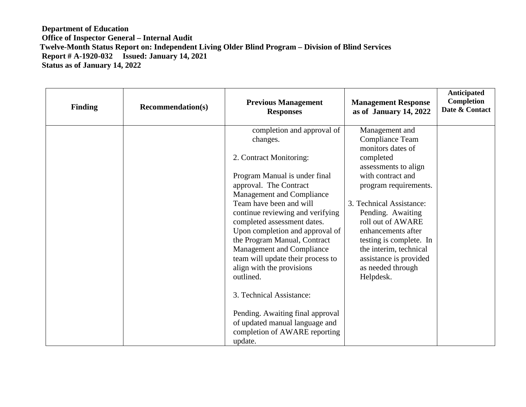| <b>Finding</b> | <b>Recommendation(s)</b> | <b>Previous Management</b><br><b>Responses</b>                  | <b>Management Response</b><br>as of January 14, 2022 | Anticipated<br>Completion<br>Date & Contact |
|----------------|--------------------------|-----------------------------------------------------------------|------------------------------------------------------|---------------------------------------------|
|                |                          | completion and approval of                                      | Management and                                       |                                             |
|                |                          | changes.                                                        | Compliance Team                                      |                                             |
|                |                          |                                                                 | monitors dates of                                    |                                             |
|                |                          | 2. Contract Monitoring:                                         | completed                                            |                                             |
|                |                          |                                                                 | assessments to align                                 |                                             |
|                |                          | Program Manual is under final                                   | with contract and                                    |                                             |
|                |                          | approval. The Contract                                          | program requirements.                                |                                             |
|                |                          | Management and Compliance                                       |                                                      |                                             |
|                |                          | Team have been and will                                         | 3. Technical Assistance:                             |                                             |
|                |                          | continue reviewing and verifying<br>completed assessment dates. | Pending. Awaiting<br>roll out of AWARE               |                                             |
|                |                          | Upon completion and approval of                                 | enhancements after                                   |                                             |
|                |                          | the Program Manual, Contract                                    | testing is complete. In                              |                                             |
|                |                          | Management and Compliance                                       | the interim, technical                               |                                             |
|                |                          | team will update their process to                               | assistance is provided                               |                                             |
|                |                          | align with the provisions                                       | as needed through                                    |                                             |
|                |                          | outlined.                                                       | Helpdesk.                                            |                                             |
|                |                          |                                                                 |                                                      |                                             |
|                |                          | 3. Technical Assistance:                                        |                                                      |                                             |
|                |                          |                                                                 |                                                      |                                             |
|                |                          | Pending. Awaiting final approval                                |                                                      |                                             |
|                |                          | of updated manual language and                                  |                                                      |                                             |
|                |                          | completion of AWARE reporting                                   |                                                      |                                             |
|                |                          | update.                                                         |                                                      |                                             |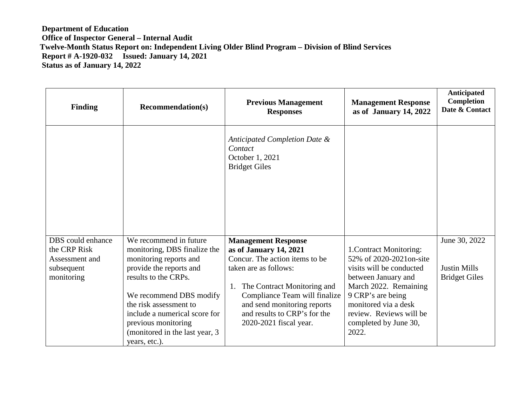| <b>Finding</b>                 | <b>Recommendation(s)</b>                               | <b>Previous Management</b><br><b>Responses</b>                                      | <b>Management Response</b><br>as of January 14, 2022 | <b>Anticipated</b><br><b>Completion</b><br>Date & Contact |
|--------------------------------|--------------------------------------------------------|-------------------------------------------------------------------------------------|------------------------------------------------------|-----------------------------------------------------------|
|                                |                                                        | Anticipated Completion Date &<br>Contact<br>October 1, 2021<br><b>Bridget Giles</b> |                                                      |                                                           |
| DBS could enhance              | We recommend in future                                 | <b>Management Response</b>                                                          |                                                      | June 30, 2022                                             |
| the CRP Risk<br>Assessment and | monitoring, DBS finalize the<br>monitoring reports and | as of January 14, 2021<br>Concur. The action items to be                            | 1. Contract Monitoring:<br>52% of 2020-2021on-site   |                                                           |
| subsequent                     | provide the reports and                                | taken are as follows:                                                               | visits will be conducted                             | <b>Justin Mills</b>                                       |
| monitoring                     | results to the CRPs.                                   |                                                                                     | between January and                                  | <b>Bridget Giles</b>                                      |
|                                | We recommend DBS modify                                | The Contract Monitoring and<br>1.<br>Compliance Team will finalize                  | March 2022. Remaining<br>9 CRP's are being           |                                                           |
|                                | the risk assessment to                                 | and send monitoring reports                                                         | monitored via a desk                                 |                                                           |
|                                | include a numerical score for                          | and results to CRP's for the                                                        | review. Reviews will be                              |                                                           |
|                                | previous monitoring                                    | 2020-2021 fiscal year.                                                              | completed by June 30,                                |                                                           |
|                                | (monitored in the last year, 3)<br>years, etc.).       |                                                                                     | 2022.                                                |                                                           |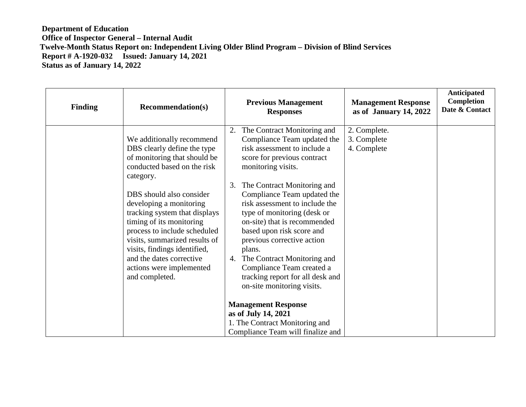| <b>Finding</b> | <b>Recommendation(s)</b>                                                                                                                                                                                                                                                                                                                                                                                                            | <b>Previous Management</b><br><b>Responses</b>                                                                                                                                                                                                                                                                                                                                                                                                                                                                                      | <b>Management Response</b><br>as of January 14, 2022 | <b>Anticipated</b><br>Completion<br>Date & Contact |
|----------------|-------------------------------------------------------------------------------------------------------------------------------------------------------------------------------------------------------------------------------------------------------------------------------------------------------------------------------------------------------------------------------------------------------------------------------------|-------------------------------------------------------------------------------------------------------------------------------------------------------------------------------------------------------------------------------------------------------------------------------------------------------------------------------------------------------------------------------------------------------------------------------------------------------------------------------------------------------------------------------------|------------------------------------------------------|----------------------------------------------------|
|                | We additionally recommend<br>DBS clearly define the type<br>of monitoring that should be<br>conducted based on the risk<br>category.<br>DBS should also consider<br>developing a monitoring<br>tracking system that displays<br>timing of its monitoring<br>process to include scheduled<br>visits, summarized results of<br>visits, findings identified,<br>and the dates corrective<br>actions were implemented<br>and completed. | The Contract Monitoring and<br>2.<br>Compliance Team updated the<br>risk assessment to include a<br>score for previous contract<br>monitoring visits.<br>The Contract Monitoring and<br>3.<br>Compliance Team updated the<br>risk assessment to include the<br>type of monitoring (desk or<br>on-site) that is recommended<br>based upon risk score and<br>previous corrective action<br>plans.<br>The Contract Monitoring and<br>4.<br>Compliance Team created a<br>tracking report for all desk and<br>on-site monitoring visits. | 2. Complete.<br>3. Complete<br>4. Complete           |                                                    |
|                |                                                                                                                                                                                                                                                                                                                                                                                                                                     | <b>Management Response</b><br>as of July 14, 2021<br>1. The Contract Monitoring and<br>Compliance Team will finalize and                                                                                                                                                                                                                                                                                                                                                                                                            |                                                      |                                                    |